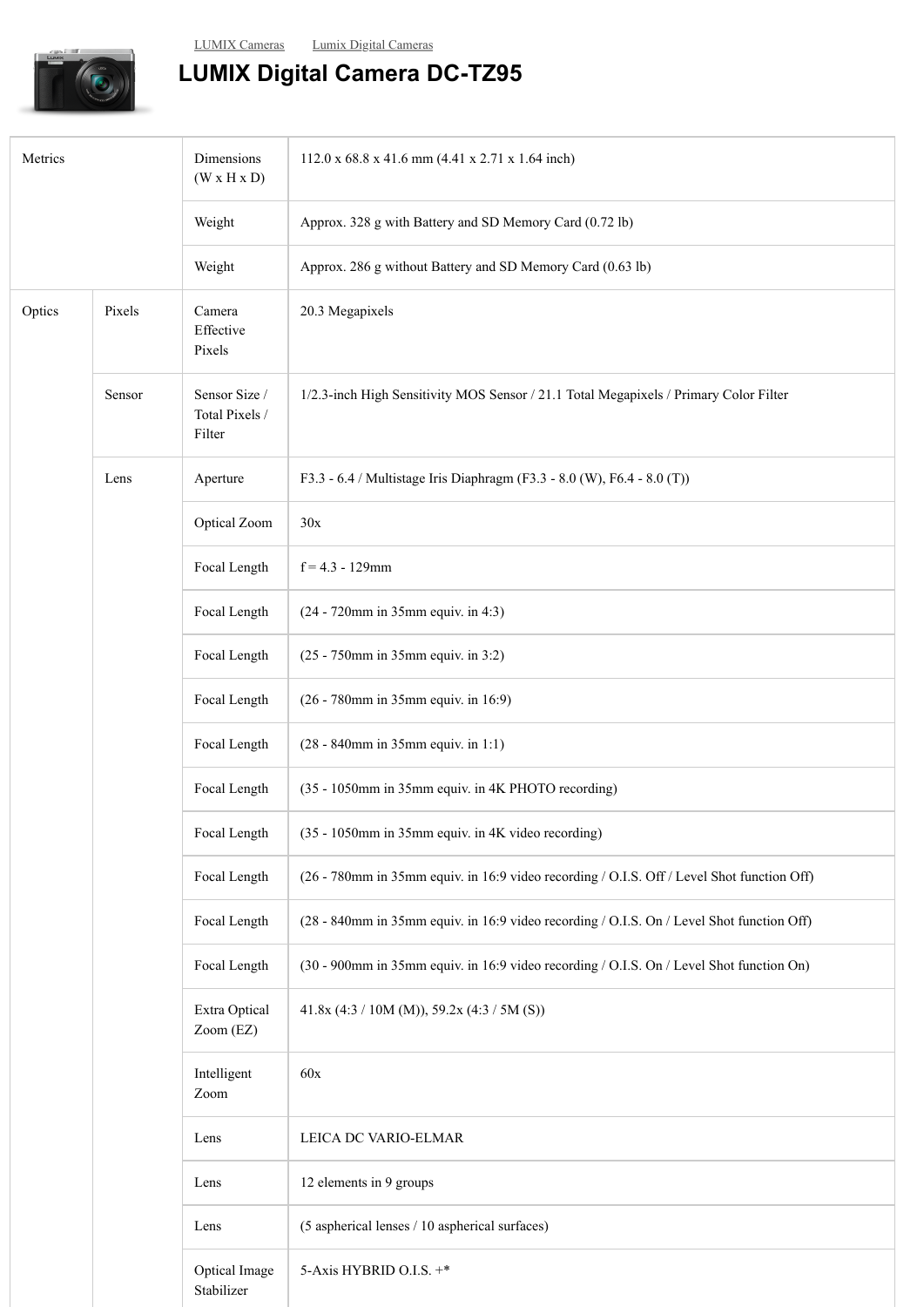## **LUMIX Digital Camera DC-TZ95**

| Metrics |        | Dimensions<br>(W x H x D)                 | 112.0 x 68.8 x 41.6 mm (4.41 x 2.71 x 1.64 inch)                                           |
|---------|--------|-------------------------------------------|--------------------------------------------------------------------------------------------|
|         |        | Weight                                    | Approx. 328 g with Battery and SD Memory Card (0.72 lb)                                    |
|         |        | Weight                                    | Approx. 286 g without Battery and SD Memory Card (0.63 lb)                                 |
| Optics  | Pixels | Camera<br>Effective<br>Pixels             | 20.3 Megapixels                                                                            |
|         | Sensor | Sensor Size /<br>Total Pixels /<br>Filter | 1/2.3-inch High Sensitivity MOS Sensor / 21.1 Total Megapixels / Primary Color Filter      |
|         | Lens   | Aperture                                  | F3.3 - 6.4 / Multistage Iris Diaphragm (F3.3 - 8.0 (W), F6.4 - 8.0 (T))                    |
|         |        | Optical Zoom                              | 30x                                                                                        |
|         |        | Focal Length                              | $f = 4.3 - 129$ mm                                                                         |
|         |        | Focal Length                              | (24 - 720mm in 35mm equiv. in 4:3)                                                         |
|         |        | Focal Length                              | (25 - 750mm in 35mm equiv. in 3:2)                                                         |
|         |        | Focal Length                              | (26 - 780mm in 35mm equiv. in 16:9)                                                        |
|         |        | Focal Length                              | (28 - 840mm in 35mm equiv. in 1:1)                                                         |
|         |        | Focal Length                              | (35 - 1050mm in 35mm equiv. in 4K PHOTO recording)                                         |
|         |        | Focal Length                              | (35 - 1050mm in 35mm equiv. in 4K video recording)                                         |
|         |        | Focal Length                              | (26 - 780mm in 35mm equiv. in 16:9 video recording / O.I.S. Off / Level Shot function Off) |
|         |        | Focal Length                              | (28 - 840mm in 35mm equiv. in 16:9 video recording / O.I.S. On / Level Shot function Off)  |
|         |        | Focal Length                              | (30 - 900mm in 35mm equiv. in 16:9 video recording / O.I.S. On / Level Shot function On)   |
|         |        | Extra Optical<br>Zoom (EZ)                | 41.8x (4:3 / 10M (M)), 59.2x (4:3 / 5M (S))                                                |
|         |        | Intelligent<br>Zoom                       | 60x                                                                                        |
|         |        | Lens                                      | LEICA DC VARIO-ELMAR                                                                       |
|         |        | Lens                                      | 12 elements in 9 groups                                                                    |
|         |        | Lens                                      | (5 aspherical lenses / 10 aspherical surfaces)                                             |
|         |        | Optical Image<br>Stabilizer               | 5-Axis HYBRID O.I.S. +*                                                                    |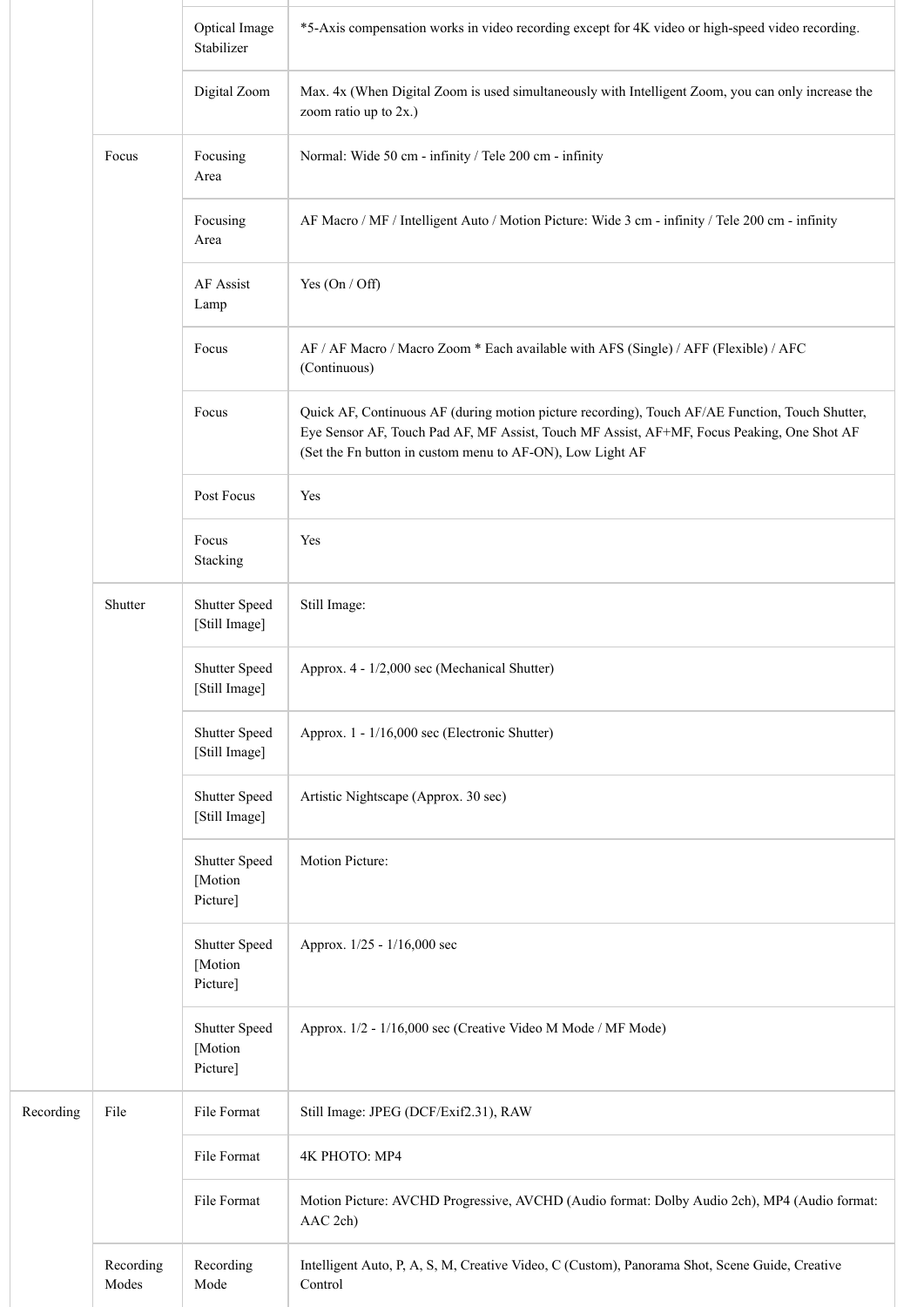|           |                    | Optical Image<br>Stabilizer          | *5-Axis compensation works in video recording except for 4K video or high-speed video recording.                                                                                                                                                           |
|-----------|--------------------|--------------------------------------|------------------------------------------------------------------------------------------------------------------------------------------------------------------------------------------------------------------------------------------------------------|
|           |                    | Digital Zoom                         | Max. 4x (When Digital Zoom is used simultaneously with Intelligent Zoom, you can only increase the<br>zoom ratio up to 2x.)                                                                                                                                |
|           | Focus              | Focusing<br>Area                     | Normal: Wide 50 cm - infinity / Tele 200 cm - infinity                                                                                                                                                                                                     |
|           |                    | Focusing<br>Area                     | AF Macro / MF / Intelligent Auto / Motion Picture: Wide 3 cm - infinity / Tele 200 cm - infinity                                                                                                                                                           |
|           |                    | AF Assist<br>Lamp                    | Yes $(On / Off)$                                                                                                                                                                                                                                           |
|           |                    | Focus                                | AF / AF Macro / Macro Zoom * Each available with AFS (Single) / AFF (Flexible) / AFC<br>(Continuous)                                                                                                                                                       |
|           |                    | Focus                                | Quick AF, Continuous AF (during motion picture recording), Touch AF/AE Function, Touch Shutter,<br>Eye Sensor AF, Touch Pad AF, MF Assist, Touch MF Assist, AF+MF, Focus Peaking, One Shot AF<br>(Set the Fn button in custom menu to AF-ON), Low Light AF |
|           |                    | Post Focus                           | Yes                                                                                                                                                                                                                                                        |
|           |                    | Focus<br>Stacking                    | Yes                                                                                                                                                                                                                                                        |
|           | Shutter            | Shutter Speed<br>[Still Image]       | Still Image:                                                                                                                                                                                                                                               |
|           |                    | Shutter Speed<br>[Still Image]       | Approx. 4 - 1/2,000 sec (Mechanical Shutter)                                                                                                                                                                                                               |
|           |                    | Shutter Speed<br>[Still Image]       | Approx. 1 - 1/16,000 sec (Electronic Shutter)                                                                                                                                                                                                              |
|           |                    | Shutter Speed<br>[Still Image]       | Artistic Nightscape (Approx. 30 sec)                                                                                                                                                                                                                       |
|           |                    | Shutter Speed<br>[Motion<br>Picture] | Motion Picture:                                                                                                                                                                                                                                            |
|           |                    | Shutter Speed<br>[Motion<br>Picture] | Approx. 1/25 - 1/16,000 sec                                                                                                                                                                                                                                |
|           |                    | Shutter Speed<br>[Motion<br>Picture] | Approx. 1/2 - 1/16,000 sec (Creative Video M Mode / MF Mode)                                                                                                                                                                                               |
| Recording | File               | File Format                          | Still Image: JPEG (DCF/Exif2.31), RAW                                                                                                                                                                                                                      |
|           |                    | File Format                          | 4К РНОТО: МР4                                                                                                                                                                                                                                              |
|           |                    | File Format                          | Motion Picture: AVCHD Progressive, AVCHD (Audio format: Dolby Audio 2ch), MP4 (Audio format:<br>AAC 2ch)                                                                                                                                                   |
|           | Recording<br>Modes | Recording<br>Mode                    | Intelligent Auto, P, A, S, M, Creative Video, C (Custom), Panorama Shot, Scene Guide, Creative<br>Control                                                                                                                                                  |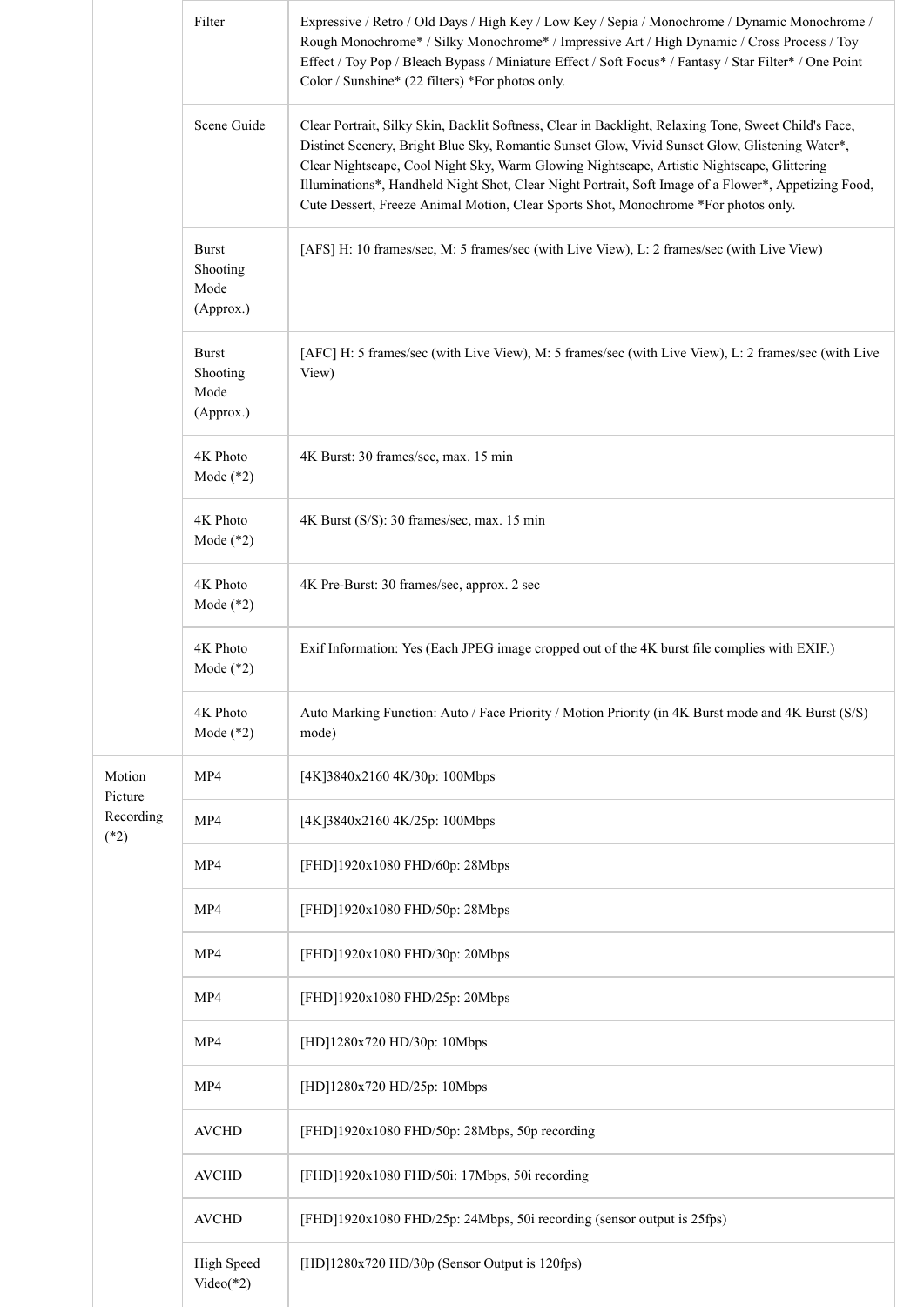|                     | Filter                                        | Expressive / Retro / Old Days / High Key / Low Key / Sepia / Monochrome / Dynamic Monochrome /<br>Rough Monochrome* / Silky Monochrome* / Impressive Art / High Dynamic / Cross Process / Toy<br>Effect / Toy Pop / Bleach Bypass / Miniature Effect / Soft Focus* / Fantasy / Star Filter* / One Point<br>Color / Sunshine* (22 filters) *For photos only.                                                                                                                                         |
|---------------------|-----------------------------------------------|-----------------------------------------------------------------------------------------------------------------------------------------------------------------------------------------------------------------------------------------------------------------------------------------------------------------------------------------------------------------------------------------------------------------------------------------------------------------------------------------------------|
|                     | Scene Guide                                   | Clear Portrait, Silky Skin, Backlit Softness, Clear in Backlight, Relaxing Tone, Sweet Child's Face,<br>Distinct Scenery, Bright Blue Sky, Romantic Sunset Glow, Vivid Sunset Glow, Glistening Water*,<br>Clear Nightscape, Cool Night Sky, Warm Glowing Nightscape, Artistic Nightscape, Glittering<br>Illuminations*, Handheld Night Shot, Clear Night Portrait, Soft Image of a Flower*, Appetizing Food,<br>Cute Dessert, Freeze Animal Motion, Clear Sports Shot, Monochrome *For photos only. |
|                     | Burst<br>Shooting<br>Mode<br>(Approx.)        | [AFS] H: 10 frames/sec, M: 5 frames/sec (with Live View), L: 2 frames/sec (with Live View)                                                                                                                                                                                                                                                                                                                                                                                                          |
|                     | <b>Burst</b><br>Shooting<br>Mode<br>(Approx.) | [AFC] H: 5 frames/sec (with Live View), M: 5 frames/sec (with Live View), L: 2 frames/sec (with Live<br>View)                                                                                                                                                                                                                                                                                                                                                                                       |
|                     | 4K Photo<br>Mode $(*2)$                       | 4K Burst: 30 frames/sec, max. 15 min                                                                                                                                                                                                                                                                                                                                                                                                                                                                |
|                     | 4K Photo<br>Mode $(*2)$                       | 4K Burst (S/S): 30 frames/sec, max. 15 min                                                                                                                                                                                                                                                                                                                                                                                                                                                          |
|                     | 4K Photo<br>Mode $(*2)$                       | 4K Pre-Burst: 30 frames/sec, approx. 2 sec                                                                                                                                                                                                                                                                                                                                                                                                                                                          |
|                     | 4K Photo<br>Mode $(*2)$                       | Exif Information: Yes (Each JPEG image cropped out of the 4K burst file complies with EXIF.)                                                                                                                                                                                                                                                                                                                                                                                                        |
|                     | 4K Photo<br>Mode $(*2)$                       | Auto Marking Function: Auto / Face Priority / Motion Priority (in 4K Burst mode and 4K Burst (S/S)<br>mode)                                                                                                                                                                                                                                                                                                                                                                                         |
| Motion<br>Picture   | MP4                                           | [4K]3840x2160 4K/30p: 100Mbps                                                                                                                                                                                                                                                                                                                                                                                                                                                                       |
| Recording<br>$(*2)$ | MP4                                           | [4K]3840x2160 4K/25p: 100Mbps                                                                                                                                                                                                                                                                                                                                                                                                                                                                       |
|                     | MP4                                           | [FHD]1920x1080 FHD/60p: 28Mbps                                                                                                                                                                                                                                                                                                                                                                                                                                                                      |
|                     | MP4                                           | [FHD]1920x1080 FHD/50p: 28Mbps                                                                                                                                                                                                                                                                                                                                                                                                                                                                      |
|                     | MP4                                           | [FHD]1920x1080 FHD/30p: 20Mbps                                                                                                                                                                                                                                                                                                                                                                                                                                                                      |
|                     | MP4                                           | [FHD]1920x1080 FHD/25p: 20Mbps                                                                                                                                                                                                                                                                                                                                                                                                                                                                      |
|                     | MP4                                           | [HD]1280x720 HD/30p: 10Mbps                                                                                                                                                                                                                                                                                                                                                                                                                                                                         |
|                     | MP4                                           | [HD]1280x720 HD/25p: 10Mbps                                                                                                                                                                                                                                                                                                                                                                                                                                                                         |
|                     | <b>AVCHD</b>                                  | [FHD]1920x1080 FHD/50p: 28Mbps, 50p recording                                                                                                                                                                                                                                                                                                                                                                                                                                                       |
|                     | <b>AVCHD</b>                                  | [FHD]1920x1080 FHD/50i: 17Mbps, 50i recording                                                                                                                                                                                                                                                                                                                                                                                                                                                       |
|                     | <b>AVCHD</b>                                  | [FHD]1920x1080 FHD/25p: 24Mbps, 50i recording (sensor output is 25fps)                                                                                                                                                                                                                                                                                                                                                                                                                              |
|                     | High Speed<br>$Video(*2)$                     | [HD]1280x720 HD/30p (Sensor Output is 120fps)                                                                                                                                                                                                                                                                                                                                                                                                                                                       |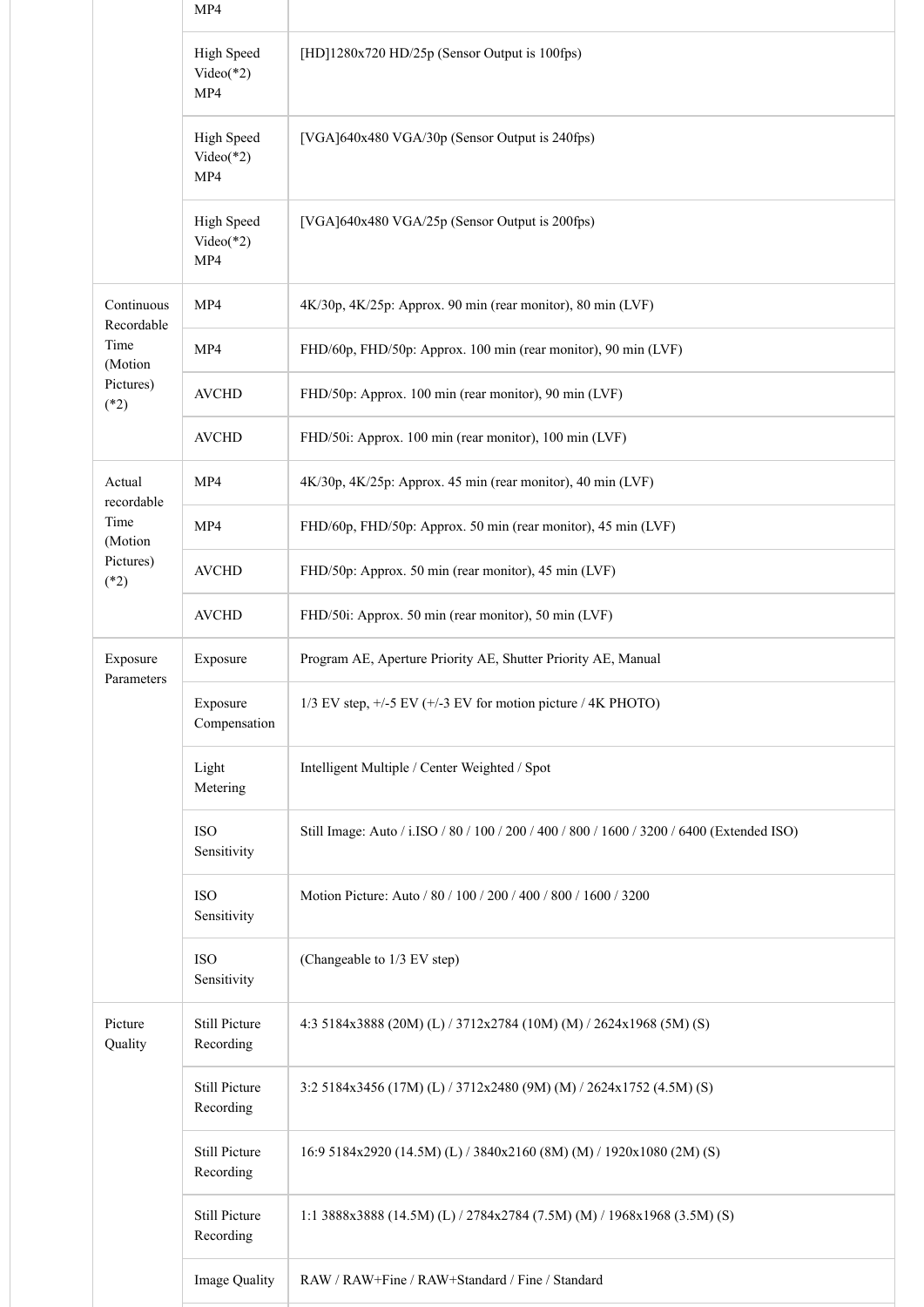|                          | MP4                              |                                                                                            |
|--------------------------|----------------------------------|--------------------------------------------------------------------------------------------|
|                          | High Speed<br>$Video(*2)$<br>MP4 | [HD]1280x720 HD/25p (Sensor Output is 100fps)                                              |
|                          | High Speed<br>$Video(*2)$<br>MP4 | [VGA]640x480 VGA/30p (Sensor Output is 240fps)                                             |
|                          | High Speed<br>$Video(*2)$<br>MP4 | [VGA]640x480 VGA/25p (Sensor Output is 200fps)                                             |
| Continuous<br>Recordable | MP4                              | 4K/30p, 4K/25p: Approx. 90 min (rear monitor), 80 min (LVF)                                |
| Time<br>(Motion          | MP4                              | FHD/60p, FHD/50p: Approx. 100 min (rear monitor), 90 min (LVF)                             |
| Pictures)<br>$(*2)$      | <b>AVCHD</b>                     | FHD/50p: Approx. 100 min (rear monitor), 90 min (LVF)                                      |
|                          | <b>AVCHD</b>                     | FHD/50i: Approx. 100 min (rear monitor), 100 min (LVF)                                     |
| Actual<br>recordable     | MP4                              | 4K/30p, 4K/25p: Approx. 45 min (rear monitor), 40 min (LVF)                                |
| Time<br>(Motion          | MP4                              | FHD/60p, FHD/50p: Approx. 50 min (rear monitor), 45 min (LVF)                              |
| Pictures)<br>$(*2)$      | <b>AVCHD</b>                     | FHD/50p: Approx. 50 min (rear monitor), 45 min (LVF)                                       |
|                          | <b>AVCHD</b>                     | FHD/50i: Approx. 50 min (rear monitor), 50 min (LVF)                                       |
| Exposure<br>Parameters   | Exposure                         | Program AE, Aperture Priority AE, Shutter Priority AE, Manual                              |
|                          | Exposure<br>Compensation         | 1/3 EV step, +/-5 EV (+/-3 EV for motion picture / 4K PHOTO)                               |
|                          | Light<br>Metering                | Intelligent Multiple / Center Weighted / Spot                                              |
|                          | <b>ISO</b><br>Sensitivity        | Still Image: Auto / i.ISO / 80 / 100 / 200 / 400 / 800 / 1600 / 3200 / 6400 (Extended ISO) |
|                          | <b>ISO</b><br>Sensitivity        | Motion Picture: Auto / 80 / 100 / 200 / 400 / 800 / 1600 / 3200                            |
|                          | <b>ISO</b><br>Sensitivity        | (Changeable to 1/3 EV step)                                                                |
| Picture<br>Quality       | Still Picture<br>Recording       | 4:3 5184x3888 (20M) (L) / 3712x2784 (10M) (M) / 2624x1968 (5M) (S)                         |
|                          | Still Picture<br>Recording       | 3:2 5184x3456 (17M) (L) / 3712x2480 (9M) (M) / 2624x1752 (4.5M) (S)                        |
|                          | Still Picture<br>Recording       | 16:9 5184x2920 (14.5M) (L) / 3840x2160 (8M) (M) / 1920x1080 (2M) (S)                       |
|                          | Still Picture<br>Recording       | 1:1 3888x3888 (14.5M) (L) / 2784x2784 (7.5M) (M) / 1968x1968 (3.5M) (S)                    |
|                          | Image Quality                    | RAW / RAW+Fine / RAW+Standard / Fine / Standard                                            |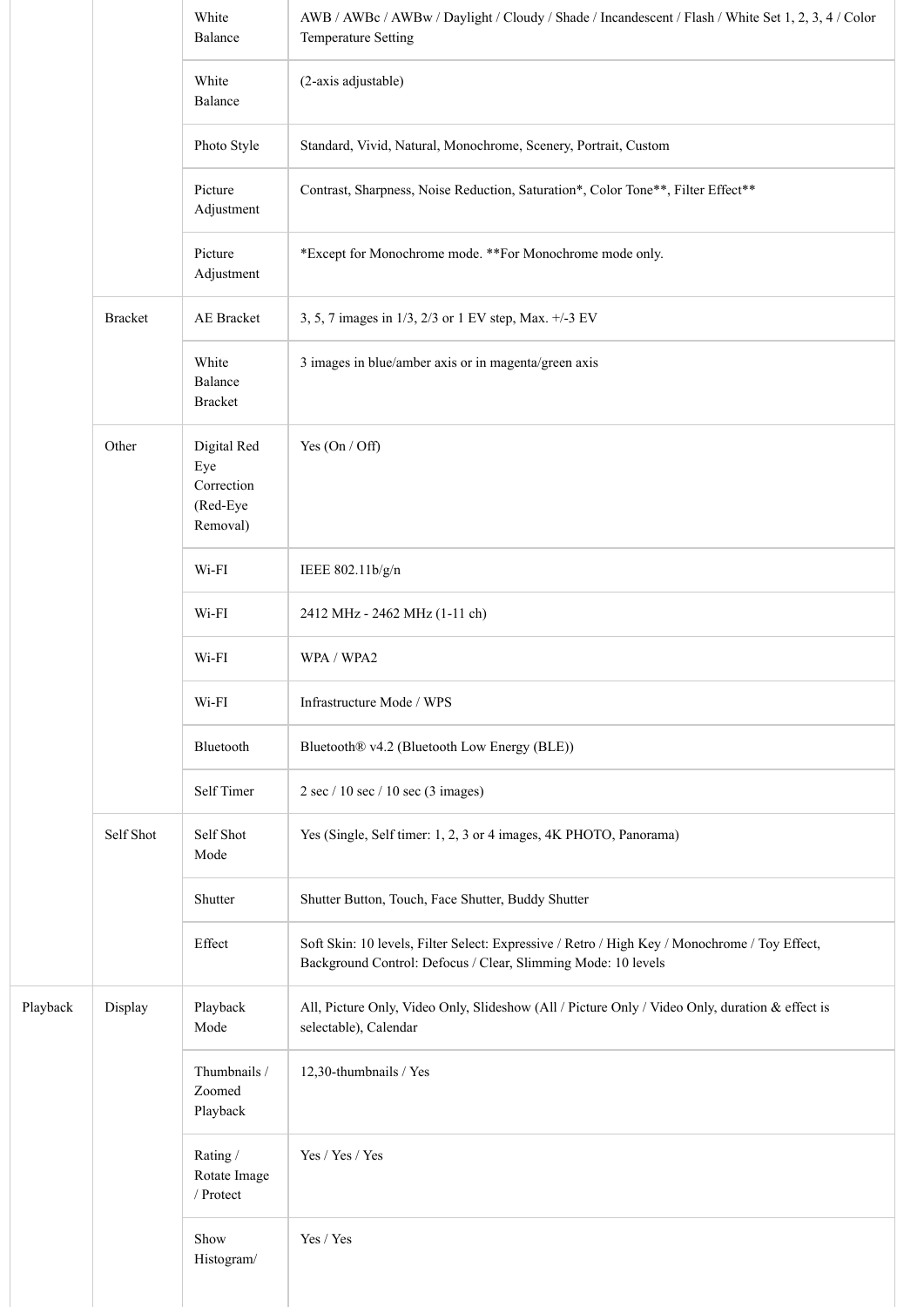|          |                | White<br>Balance                                         | AWB / AWBc / AWBw / Daylight / Cloudy / Shade / Incandescent / Flash / White Set 1, 2, 3, 4 / Color<br>Temperature Setting                                     |
|----------|----------------|----------------------------------------------------------|----------------------------------------------------------------------------------------------------------------------------------------------------------------|
|          |                | White<br>Balance                                         | (2-axis adjustable)                                                                                                                                            |
|          |                | Photo Style                                              | Standard, Vivid, Natural, Monochrome, Scenery, Portrait, Custom                                                                                                |
|          |                | Picture<br>Adjustment                                    | Contrast, Sharpness, Noise Reduction, Saturation*, Color Tone**, Filter Effect**                                                                               |
|          |                | Picture<br>Adjustment                                    | *Except for Monochrome mode. **For Monochrome mode only.                                                                                                       |
|          | <b>Bracket</b> | AE Bracket                                               | 3, 5, 7 images in 1/3, 2/3 or 1 EV step, Max. +/-3 EV                                                                                                          |
|          |                | White<br>Balance<br><b>Bracket</b>                       | 3 images in blue/amber axis or in magenta/green axis                                                                                                           |
|          | Other          | Digital Red<br>Eye<br>Correction<br>(Red-Eye<br>Removal) | Yes $(On / Off)$                                                                                                                                               |
|          |                | Wi-FI                                                    | IEEE 802.11b/g/n                                                                                                                                               |
|          |                | Wi-FI                                                    | 2412 MHz - 2462 MHz (1-11 ch)                                                                                                                                  |
|          |                | $Wi$ - $FI$                                              | WPA / WPA2                                                                                                                                                     |
|          |                | Wi-FI                                                    | Infrastructure Mode / WPS                                                                                                                                      |
|          |                | Bluetooth                                                | Bluetooth® v4.2 (Bluetooth Low Energy (BLE))                                                                                                                   |
|          |                | Self Timer                                               | $2 \sec / 10 \sec / 10 \sec (3$ images)                                                                                                                        |
|          | Self Shot      | Self Shot<br>Mode                                        | Yes (Single, Self timer: 1, 2, 3 or 4 images, 4K PHOTO, Panorama)                                                                                              |
|          |                | Shutter                                                  | Shutter Button, Touch, Face Shutter, Buddy Shutter                                                                                                             |
|          |                | Effect                                                   | Soft Skin: 10 levels, Filter Select: Expressive / Retro / High Key / Monochrome / Toy Effect,<br>Background Control: Defocus / Clear, Slimming Mode: 10 levels |
| Playback | Display        | Playback<br>Mode                                         | All, Picture Only, Video Only, Slideshow (All / Picture Only / Video Only, duration & effect is<br>selectable), Calendar                                       |
|          |                | Thumbnails /<br>Zoomed<br>Playback                       | 12,30-thumbnails / Yes                                                                                                                                         |
|          |                | Rating /<br>Rotate Image<br>/ $Protext$                  | Yes / Yes / Yes                                                                                                                                                |
|          |                | Show<br>Histogram/                                       | Yes / Yes                                                                                                                                                      |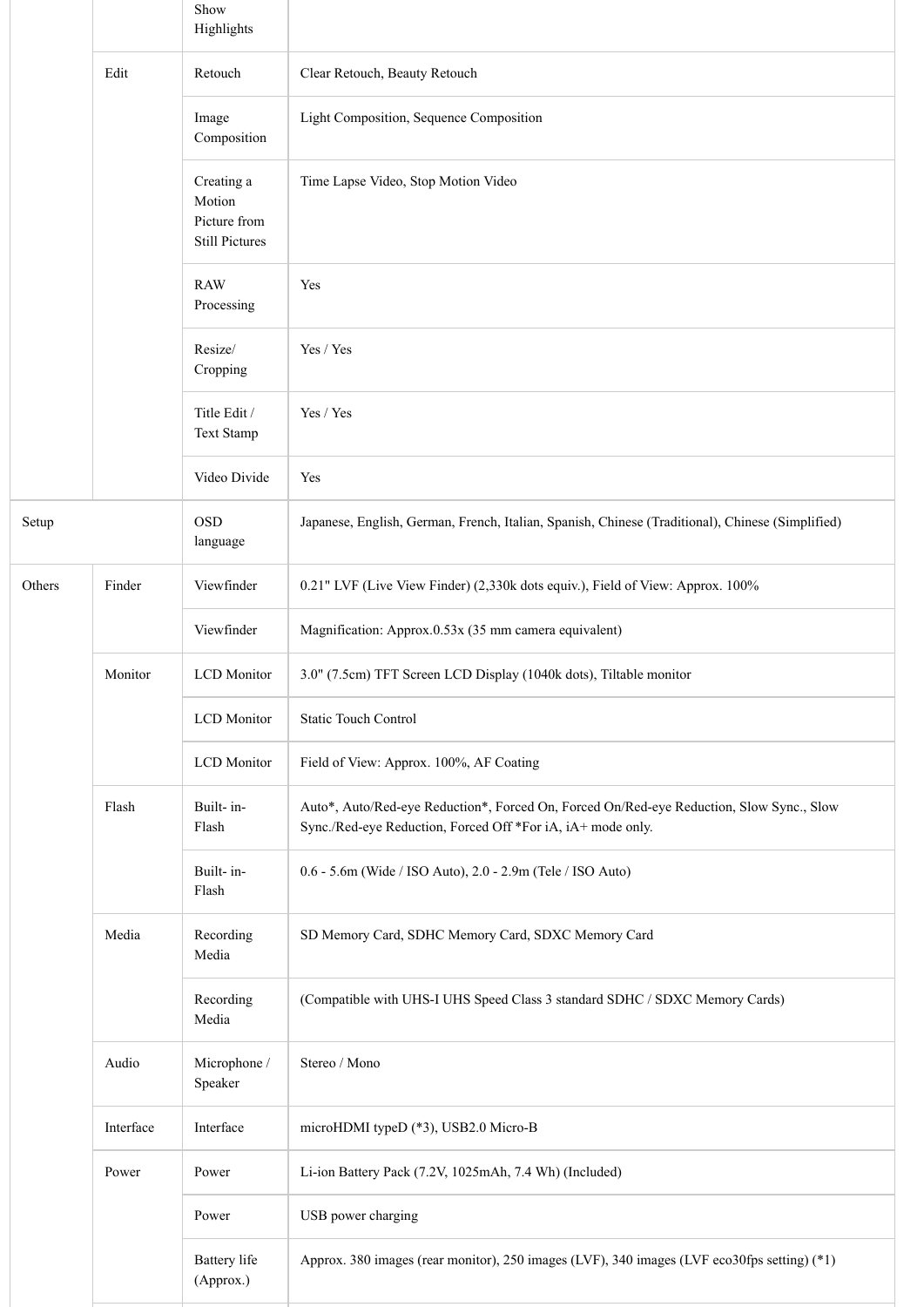|        |           | Show<br>Highlights                                            |                                                                                                                                                         |
|--------|-----------|---------------------------------------------------------------|---------------------------------------------------------------------------------------------------------------------------------------------------------|
|        | Edit      | Retouch                                                       | Clear Retouch, Beauty Retouch                                                                                                                           |
|        |           | Image<br>Composition                                          | Light Composition, Sequence Composition                                                                                                                 |
|        |           | Creating a<br>Motion<br>Picture from<br><b>Still Pictures</b> | Time Lapse Video, Stop Motion Video                                                                                                                     |
|        |           | <b>RAW</b><br>Processing                                      | Yes                                                                                                                                                     |
|        |           | Resize/<br>Cropping                                           | Yes / Yes                                                                                                                                               |
|        |           | Title Edit /<br>Text Stamp                                    | Yes / Yes                                                                                                                                               |
|        |           | Video Divide                                                  | Yes                                                                                                                                                     |
| Setup  |           | <b>OSD</b><br>language                                        | Japanese, English, German, French, Italian, Spanish, Chinese (Traditional), Chinese (Simplified)                                                        |
| Others | Finder    | Viewfinder                                                    | 0.21" LVF (Live View Finder) (2,330k dots equiv.), Field of View: Approx. 100%                                                                          |
|        |           | Viewfinder                                                    | Magnification: Approx.0.53x (35 mm camera equivalent)                                                                                                   |
|        | Monitor   | <b>LCD</b> Monitor                                            | 3.0" (7.5cm) TFT Screen LCD Display (1040k dots), Tiltable monitor                                                                                      |
|        |           | <b>LCD</b> Monitor                                            | Static Touch Control                                                                                                                                    |
|        |           | <b>LCD</b> Monitor                                            | Field of View: Approx. 100%, AF Coating                                                                                                                 |
|        | Flash     | Built-in-<br>Flash                                            | Auto*, Auto/Red-eye Reduction*, Forced On, Forced On/Red-eye Reduction, Slow Sync., Slow<br>Sync./Red-eye Reduction, Forced Off *For iA, iA+ mode only. |
|        |           | Built-in-<br>Flash                                            | 0.6 - 5.6m (Wide / ISO Auto), 2.0 - 2.9m (Tele / ISO Auto)                                                                                              |
|        | Media     | Recording<br>Media                                            | SD Memory Card, SDHC Memory Card, SDXC Memory Card                                                                                                      |
|        |           | Recording<br>Media                                            | (Compatible with UHS-I UHS Speed Class 3 standard SDHC / SDXC Memory Cards)                                                                             |
|        | Audio     | Microphone /<br>Speaker                                       | Stereo / Mono                                                                                                                                           |
|        | Interface | Interface                                                     | microHDMI typeD (*3), USB2.0 Micro-B                                                                                                                    |
|        | Power     | Power                                                         | Li-ion Battery Pack (7.2V, 1025mAh, 7.4 Wh) (Included)                                                                                                  |
|        |           | Power                                                         | USB power charging                                                                                                                                      |
|        |           | <b>Battery</b> life<br>(Approx.)                              | Approx. 380 images (rear monitor), 250 images (LVF), 340 images (LVF eco30fps setting) (*1)                                                             |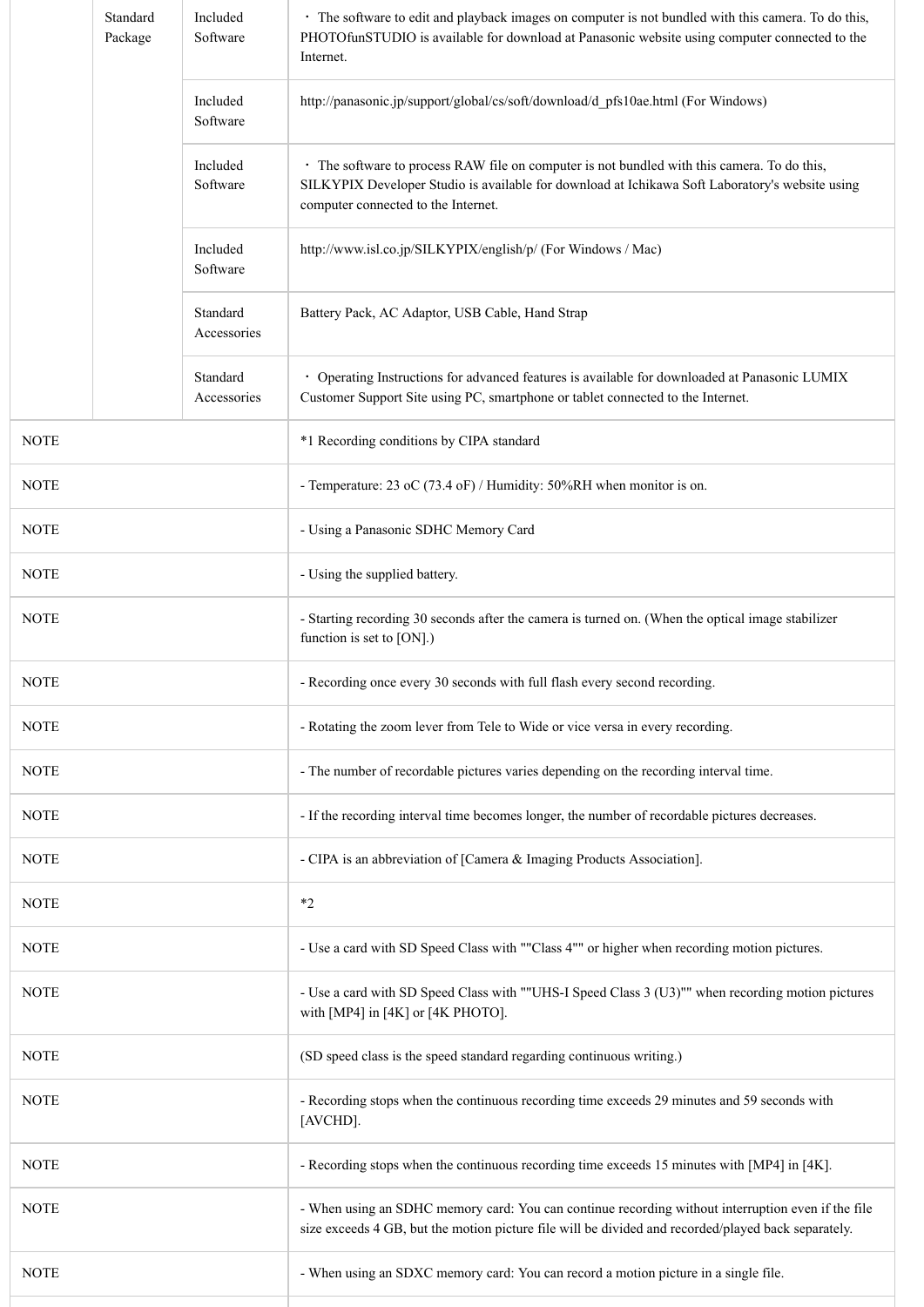|             | Standard<br>Package | Included<br>Software    | • The software to edit and playback images on computer is not bundled with this camera. To do this,<br>PHOTOfunSTUDIO is available for download at Panasonic website using computer connected to the<br>Internet.                     |
|-------------|---------------------|-------------------------|---------------------------------------------------------------------------------------------------------------------------------------------------------------------------------------------------------------------------------------|
|             |                     | Included<br>Software    | http://panasonic.jp/support/global/cs/soft/download/d pfs10ae.html (For Windows)                                                                                                                                                      |
|             |                     | Included<br>Software    | • The software to process RAW file on computer is not bundled with this camera. To do this,<br>SILKYPIX Developer Studio is available for download at Ichikawa Soft Laboratory's website using<br>computer connected to the Internet. |
|             |                     | Included<br>Software    | http://www.isl.co.jp/SILKYPIX/english/p/ (For Windows / Mac)                                                                                                                                                                          |
|             |                     | Standard<br>Accessories | Battery Pack, AC Adaptor, USB Cable, Hand Strap                                                                                                                                                                                       |
|             |                     | Standard<br>Accessories | · Operating Instructions for advanced features is available for downloaded at Panasonic LUMIX<br>Customer Support Site using PC, smartphone or tablet connected to the Internet.                                                      |
| <b>NOTE</b> |                     |                         | *1 Recording conditions by CIPA standard                                                                                                                                                                                              |
| <b>NOTE</b> |                     |                         | - Temperature: 23 oC (73.4 oF) / Humidity: 50%RH when monitor is on.                                                                                                                                                                  |
| <b>NOTE</b> |                     |                         | - Using a Panasonic SDHC Memory Card                                                                                                                                                                                                  |
| <b>NOTE</b> |                     |                         | - Using the supplied battery.                                                                                                                                                                                                         |
| <b>NOTE</b> |                     |                         | - Starting recording 30 seconds after the camera is turned on. (When the optical image stabilizer<br>function is set to [ON].)                                                                                                        |
| <b>NOTE</b> |                     |                         | - Recording once every 30 seconds with full flash every second recording.                                                                                                                                                             |
| <b>NOTE</b> |                     |                         | - Rotating the zoom lever from Tele to Wide or vice versa in every recording.                                                                                                                                                         |
| <b>NOTE</b> |                     |                         | - The number of recordable pictures varies depending on the recording interval time.                                                                                                                                                  |
| <b>NOTE</b> |                     |                         | - If the recording interval time becomes longer, the number of recordable pictures decreases.                                                                                                                                         |
| <b>NOTE</b> |                     |                         | - CIPA is an abbreviation of [Camera & Imaging Products Association].                                                                                                                                                                 |
| <b>NOTE</b> |                     |                         | $*2$                                                                                                                                                                                                                                  |
| <b>NOTE</b> |                     |                         | - Use a card with SD Speed Class with ""Class 4"" or higher when recording motion pictures.                                                                                                                                           |
| <b>NOTE</b> |                     |                         | - Use a card with SD Speed Class with ""UHS-I Speed Class 3 (U3)"" when recording motion pictures<br>with [MP4] in [4K] or [4K PHOTO].                                                                                                |
| <b>NOTE</b> |                     |                         | (SD speed class is the speed standard regarding continuous writing.)                                                                                                                                                                  |
| <b>NOTE</b> |                     |                         | - Recording stops when the continuous recording time exceeds 29 minutes and 59 seconds with<br>[AVCHD].                                                                                                                               |
| <b>NOTE</b> |                     |                         | - Recording stops when the continuous recording time exceeds 15 minutes with [MP4] in [4K].                                                                                                                                           |
| <b>NOTE</b> |                     |                         | - When using an SDHC memory card: You can continue recording without interruption even if the file<br>size exceeds 4 GB, but the motion picture file will be divided and recorded/played back separately.                             |
| <b>NOTE</b> |                     |                         | - When using an SDXC memory card: You can record a motion picture in a single file.                                                                                                                                                   |